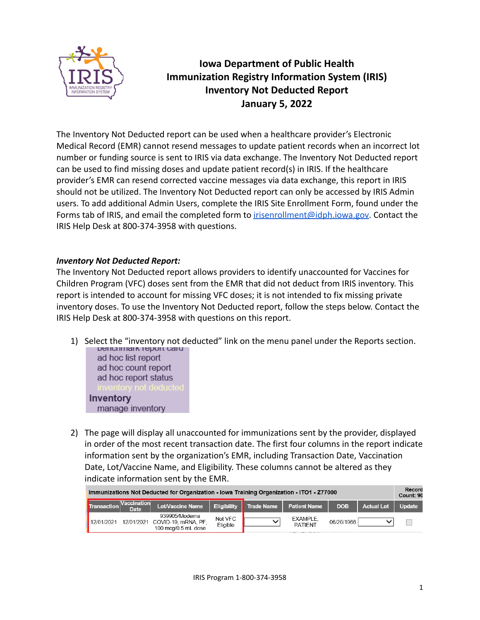

# **Iowa Department of Public Health Immunization Registry Information System (IRIS) Inventory Not Deducted Report January 5, 2022**

The Inventory Not Deducted report can be used when a healthcare provider's Electronic Medical Record (EMR) cannot resend messages to update patient records when an incorrect lot number or funding source is sent to IRIS via data exchange. The Inventory Not Deducted report can be used to find missing doses and update patient record(s) in IRIS. If the healthcare provider's EMR can resend corrected vaccine messages via data exchange, this report in IRIS should not be utilized. The Inventory Not Deducted report can only be accessed by IRIS Admin users. To add additional Admin Users, complete the IRIS Site Enrollment Form, found under the Forms tab of IRIS, and email the completed form to [irisenrollment@idph.iowa.gov.](mailto:irisenrollment@idph.iowa.gov) Contact the IRIS Help Desk at 800-374-3958 with questions.

## *Inventory Not Deducted Report:*

manage inventory

The Inventory Not Deducted report allows providers to identify unaccounted for Vaccines for Children Program (VFC) doses sent from the EMR that did not deduct from IRIS inventory. This report is intended to account for missing VFC doses; it is not intended to fix missing private inventory doses. To use the Inventory Not Deducted report, follow the steps below. Contact the IRIS Help Desk at 800-374-3958 with questions on this report.

- 1) Select the "inventory not deducted" link on the menu panel under the Reports section. ad hoc list report ad hoc count report ad hoc report status **Inventory**
- 2) The page will display all unaccounted for immunizations sent by the provider, displayed in order of the most recent transaction date. The first four columns in the report indicate information sent by the organization's EMR, including Transaction Date, Vaccination Date, Lot/Vaccine Name, and Eligibility. These columns cannot be altered as they indicate information sent by the EMR.

| Immunizations Not Deducted for Organization - Iowa Training Organization - ITO1 - Z77000 |                     |                                                                         |                     |                   |                            |            |                   |        |  |
|------------------------------------------------------------------------------------------|---------------------|-------------------------------------------------------------------------|---------------------|-------------------|----------------------------|------------|-------------------|--------|--|
| Transaction                                                                              | Vaccination<br>Date | Lot/Vaccine Name                                                        | <b>Eligibility</b>  | <b>Trade Name</b> | <b>Patient Name</b>        | <b>DOB</b> | <b>Actual Lot</b> | Update |  |
| 12/01/2021                                                                               |                     | 939905/Moderna<br>12/01/2021 COVID-19, mRNA, PF,<br>100 mca/0.5 mL dose | Not VFC<br>Eligible |                   | EXAMPLE.<br><b>PATIFNT</b> | 06/20/1966 |                   |        |  |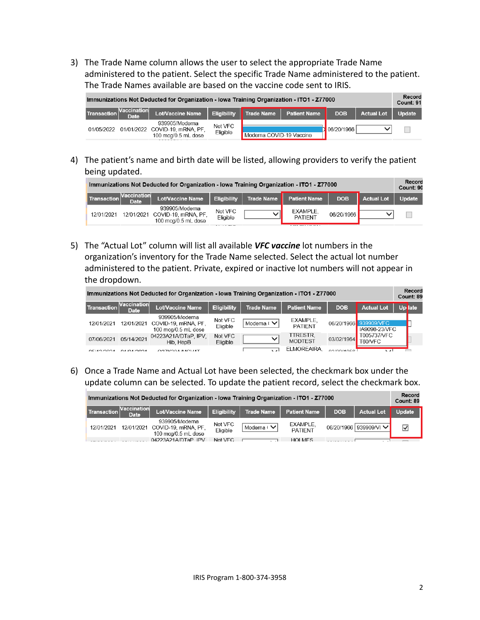3) The Trade Name column allows the user to select the appropriate Trade Name administered to the patient. Select the specific Trade Name administered to the patient. The Trade Names available are based on the vaccine code sent to IRIS.

| Immunizations Not Deducted for Organization - Iowa Training Organization - ITO1 - Z77000 |                            |                                                                         |                     |                          |                     |            |                   |               |  |
|------------------------------------------------------------------------------------------|----------------------------|-------------------------------------------------------------------------|---------------------|--------------------------|---------------------|------------|-------------------|---------------|--|
| Transaction                                                                              | Vaccination<br><b>Date</b> | <b>Lot/Vaccine Name</b>                                                 | <b>Eligibility</b>  | <b>Trade Name</b>        | <b>Patient Name</b> | <b>DOB</b> | <b>Actual Lot</b> | <b>Update</b> |  |
| 01/05/2022                                                                               |                            | 939905/Moderna<br>01/01/2022 COVID-19, mRNA, PF,<br>100 mcg/0.5 mL dose | Not VFC<br>Eligible | Moderna COVID-19 Vaccine |                     | 06/20/1966 |                   |               |  |

4) The patient's name and birth date will be listed, allowing providers to verify the patient being updated.

| Immunizations Not Deducted for Organization - Iowa Training Organization - ITO1 - Z77000 |                            |                                                                         |                          |                   |                                                         |            |                   |        |  |
|------------------------------------------------------------------------------------------|----------------------------|-------------------------------------------------------------------------|--------------------------|-------------------|---------------------------------------------------------|------------|-------------------|--------|--|
| │ Transaction │                                                                          | <b>Vaccination</b><br>Date | Lot/Vaccine Name                                                        | <b>Eligibility</b>       | <b>Trade Name</b> | <b>Patient Name</b>                                     | <b>DOB</b> | <b>Actual Lot</b> | Update |  |
| 12/01/2021                                                                               |                            | 939905/Moderna<br>12/01/2021 COVID-19, mRNA, PF,<br>100 mca/0.5 mL dose | Not VFC<br>Eligible<br>. |                   | EXAMPLE,<br><b>PATIENT</b><br>$- - - - - - - - - - - -$ | 06/20/1966 |                   |        |  |

5) The "Actual Lot" column will list all available *VFC vaccine* lot numbers in the organization's inventory for the Trade Name selected. Select the actual lot number administered to the patient. Private, expired or inactive lot numbers will not appear in the dropdown.

| Immunizations Not Deducted for Organization - Iowa Training Organization - ITO1 - Z77000 |                            |                                                              |                     |                   |                                   |            |                                        |         |  |  |
|------------------------------------------------------------------------------------------|----------------------------|--------------------------------------------------------------|---------------------|-------------------|-----------------------------------|------------|----------------------------------------|---------|--|--|
| <b>Transaction</b>                                                                       | Vaccination<br><b>Date</b> | <b>Lot/Vaccine Name</b>                                      | <b>Eligibility</b>  | <b>Trade Name</b> | <b>Patient Name</b>               | <b>DOB</b> | <b>Actual Lot</b>                      | Up late |  |  |
| 12/01/2021                                                                               | 12/01/2021                 | 939905/Moderna<br>COVID-19, mRNA, PF,<br>100 mcg/0.5 mL dose | Not VFC<br>Eligible | Moderna (V        | EXAMPLE.<br><b>PATIENT</b>        |            | 06/20/1966 939909/VFC<br>IA9098-23/VFC |         |  |  |
| 07/06/2021                                                                               | 05/14/2021                 | 04223A21A/DTaP, IPV.<br>Hib. HepB                            | Not VFC<br>Eligible |                   | <b>TTRESTR.</b><br><b>MODTEST</b> | 03/02/1964 | T005737/VFC<br>T60/VFC                 |         |  |  |
| QE/AQ/2QA                                                                                | 0.410110004                | O271/20A/BAO3/AT                                             |                     |                   | ELMOREAIRA.                       | 02/00/1056 | $\mathbf{A}$                           |         |  |  |

6) Once a Trade Name and Actual Lot have been selected, the checkmark box under the update column can be selected. To update the patient record, select the checkmark box.

| Immunizations Not Deducted for Organization - Iowa Training Organization - ITO1 - Z77000 |                      |                                                                         |                     |                                |                            |            |                          |               |  |  |
|------------------------------------------------------------------------------------------|----------------------|-------------------------------------------------------------------------|---------------------|--------------------------------|----------------------------|------------|--------------------------|---------------|--|--|
| <b>Transaction</b>                                                                       | Vaccination<br>Date. | Lot/Vaccine Name                                                        | <b>Eligibility</b>  | <b>Trade Name</b>              | <b>Patient Name</b>        | <b>DOB</b> | <b>Actual Lot</b>        | <b>Update</b> |  |  |
| 12/01/2021                                                                               |                      | 939905/Moderna<br>12/01/2021 COVID-19, mRNA, PF,<br>100 mcg/0.5 mL dose | Not VFC<br>Eligible | Moderna ( $\blacktriangledown$ | EXAMPLE,<br><b>PATIENT</b> |            | 06/20/1966   939909/VI V | ☑             |  |  |
|                                                                                          |                      | 04223A21A/DTaP IPV                                                      | Not VEC.            |                                | HOLMES                     |            |                          |               |  |  |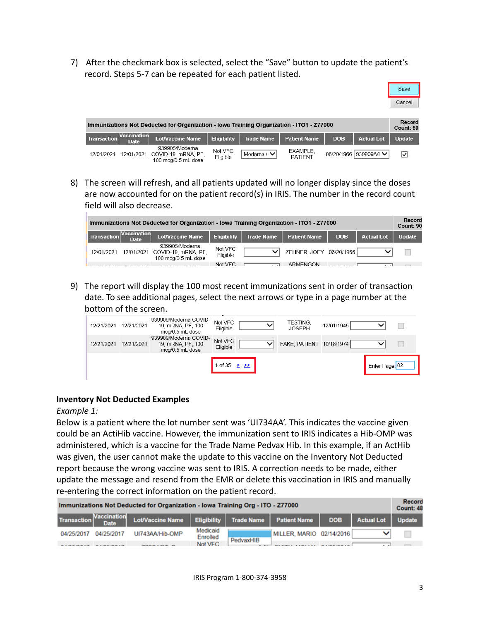7) After the checkmark box is selected, select the "Save" button to update the patient's record. Steps 5-7 can be repeated for each patient listed.



| Immunizations Not Deducted for Organization - Iowa Training Organization - ITO1 - Z77000 |                                   |                                                                         |                     |                   |                            |            |                          |               |  |
|------------------------------------------------------------------------------------------|-----------------------------------|-------------------------------------------------------------------------|---------------------|-------------------|----------------------------|------------|--------------------------|---------------|--|
| Transaction                                                                              | <b>Naccination</b><br><b>Date</b> | <b>Lot/Vaccine Name</b>                                                 | <b>Eligibility</b>  | <b>Trade Name</b> | <b>Patient Name</b>        | <b>DOB</b> | <b>Actual Lot</b>        | <b>Update</b> |  |
| 12/01/2021                                                                               |                                   | 939905/Moderna<br>12/01/2021 COVID-19, mRNA, PF,<br>100 mcg/0.5 mL dose | Not VFC<br>Eligible | Moderna (VI       | EXAMPLE,<br><b>PATIENT</b> |            | 06/20/1966   939909/VI V | ☑             |  |

8) The screen will refresh, and all patients updated will no longer display since the doses are now accounted for on the patient record(s) in IRIS. The number in the record count field will also decrease.

| Immunizations Not Deducted for Organization - Iowa Training Organization - ITO1 - Z77000<br>Count: 90 |                            |                                                              |                     |                   |                         |            |                   |        |  |
|-------------------------------------------------------------------------------------------------------|----------------------------|--------------------------------------------------------------|---------------------|-------------------|-------------------------|------------|-------------------|--------|--|
| Transaction                                                                                           | <b>Vaccination</b><br>Date | <b>Lot/Vaccine Name</b>                                      | <b>Eligibility</b>  | <b>Trade Name</b> | <b>Patient Name</b>     | <b>DOB</b> | <b>Actual Lot</b> | Update |  |
| 12/01/2021                                                                                            | 12/01/2021                 | 939905/Moderna<br>COVID-19, mRNA, PF,<br>100 mcg/0.5 mL dose | Not VFC<br>Eligible | $\checkmark$      | ZEHNER. JOEY 06/20/1966 |            |                   |        |  |
|                                                                                                       |                            | .                                                            | Not VFC             |                   | ARMENGON                |            |                   |        |  |

9) The report will display the 100 most recent immunizations sent in order of transaction date. To see additional pages, select the next arrows or type in a page number at the bottom of the screen.

| 12/21/2021 | 12/21/2021 | 939909/Moderna COVID-<br>19, mRNA, PF, 100<br>mcg/0.5 mL dose | Not VFC<br>Eligible |  | TESTING,<br><b>JOSEPH</b> | 12/01/1945 |                |  |
|------------|------------|---------------------------------------------------------------|---------------------|--|---------------------------|------------|----------------|--|
| 12/21/2021 | 12/21/2021 | 939909/Moderna COVID-<br>19, mRNA, PF, 100<br>mca/0.5 mL dose | Not VFC<br>Eligible |  | FAKE, PATIENT 10/18/1974  |            |                |  |
|            |            |                                                               | 1 of 35             |  |                           |            | Enter Page: 02 |  |

## **Inventory Not Deducted Examples**

#### *Example 1:*

Below is a patient where the lot number sent was 'UI734AA'. This indicates the vaccine given could be an ActiHib vaccine. However, the immunization sent to IRIS indicates a Hib-OMP was administered, which is a vaccine for the Trade Name Pedvax Hib. In this example, if an ActHib was given, the user cannot make the update to this vaccine on the Inventory Not Deducted report because the wrong vaccine was sent to IRIS. A correction needs to be made, either update the message and resend from the EMR or delete this vaccination in IRIS and manually re-entering the correct information on the patient record.

| Immunizations Not Deducted for Organization - Iowa Training Org - ITO - 277000 |                                   |                         |                      |                   |                         |            |                   |               |  |
|--------------------------------------------------------------------------------|-----------------------------------|-------------------------|----------------------|-------------------|-------------------------|------------|-------------------|---------------|--|
| Transaction <sup>"</sup>                                                       | <b>Vaccination</b><br><b>Date</b> | <b>Lot/Vaccine Name</b> | <b>Eligibility</b>   | <b>Trade Name</b> | <b>Patient Name</b>     | <b>DOB</b> | <b>Actual Lot</b> | <b>Update</b> |  |
| 04/25/2017                                                                     | 04/25/2017                        | UI743AA/Hib-OMP         | Medicaid<br>Enrolled | PedvaxHIB         | MILLER MARIO 02/14/2016 |            |                   |               |  |
|                                                                                |                                   |                         | Not VEC.             |                   |                         |            |                   |               |  |